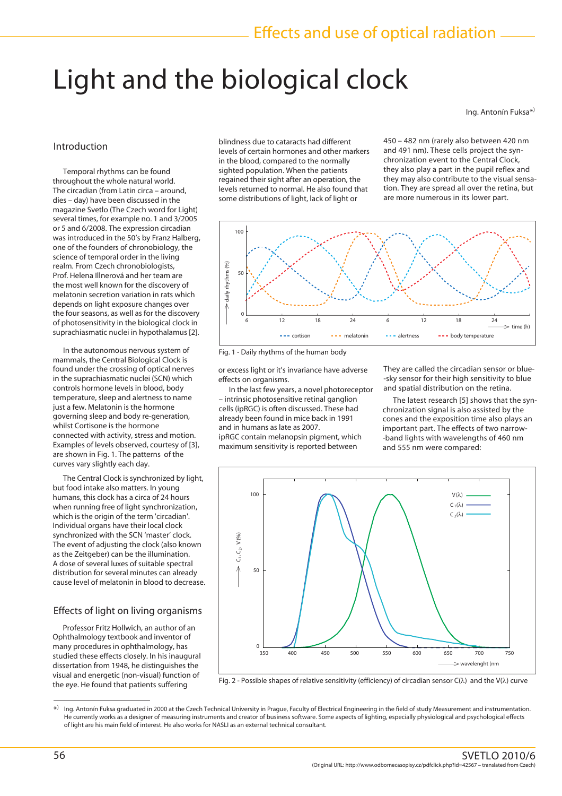# Light and the biological clock

Ing. Antonín Fuksa\*)

## Introduction

 Temporal rhythms can be found throughout the whole natural world. The circadian (from Latin circa – around, dies – day) have been discussed in the magazine Svetlo (The Czech word for Light) several times, for example no. 1 and 3/2005 or 5 and 6/2008. The expression circadian was introduced in the 50's by Franz Halberg, one of the founders of chronobiology, the science of temporal order in the living realm. From Czech chronobiologists, Prof. Helena Illnerová and her team are the most well known for the discovery of melatonin secretion variation in rats which depends on light exposure changes over the four seasons, as well as for the discovery of photosensitivity in the biological clock in suprachiasmatic nuclei in hypothalamus [2].

 In the autonomous nervous system of mammals, the Central Biological Clock is found under the crossing of optical nerves in the suprachiasmatic nuclei (SCN) which controls hormone levels in blood, body temperature, sleep and alertness to name just a few. Melatonin is the hormone governing sleep and body re-generation, whilst Cortisone is the hormone connected with activity, stress and motion. Examples of levels observed, courtesy of [3], are shown in Fig. 1. The patterns of the curves vary slightly each day.

 The Central Clock is synchronized by light, but food intake also matters. In young humans, this clock has a circa of 24 hours when running free of light synchronization, which is the origin of the term 'circadian'. Individual organs have their local clock synchronized with the SCN 'master' clock. The event of adjusting the clock (also known as the Zeitgeber) can be the illumination. A dose of several luxes of suitable spectral distribution for several minutes can already cause level of melatonin in blood to decrease.

### Effects of light on living organisms

 Professor Fritz Hollwich, an author of an Ophthalmology textbook and inventor of many procedures in ophthalmology, has studied these effects closely. In his inaugural dissertation from 1948, he distinguishes the visual and energetic (non-visual) function of the eye. He found that patients suffering

blindness due to cataracts had different levels of certain hormones and other markers in the blood, compared to the normally sighted population. When the patients regained their sight after an operation, the levels returned to normal. He also found that some distributions of light, lack of light or

450 – 482 nm (rarely also between 420 nm and 491 nm). These cells project the synchronization event to the Central Clock, they also play a part in the pupil reflex and they may also contribute to the visual sensation. They are spread all over the retina, but are more numerous in its lower part.



Fig. 1 - Daily rhythms of the human body

or excess light or it's invariance have adverse effects on organisms.

 In the last few years, a novel photoreceptor – intrinsic photosensitive retinal ganglion cells (ipRGC) is often discussed. These had already been found in mice back in 1991 and in humans as late as 2007. ipRGC contain melanopsin pigment, which maximum sensitivity is reported between

They are called the circadian sensor or blue- -sky sensor for their high sensitivity to blue and spatial distribution on the retina.

 The latest research [5] shows that the synchronization signal is also assisted by the cones and the exposition time also plays an important part. The effects of two narrow- -band lights with wavelengths of 460 nm and 555 nm were compared:



\* ) Ing. Antonín Fuksa graduated in 2000 at the Czech Technical University in Prague, Faculty of Electrical Engineering in the field of study Measurement and instrumentation. He currently works as a designer of measuring instruments and creator of business software. Some aspects of lighting, especially physiological and psychological effects of light are his main field of interest. He also works for NASLI as an external technical consultant.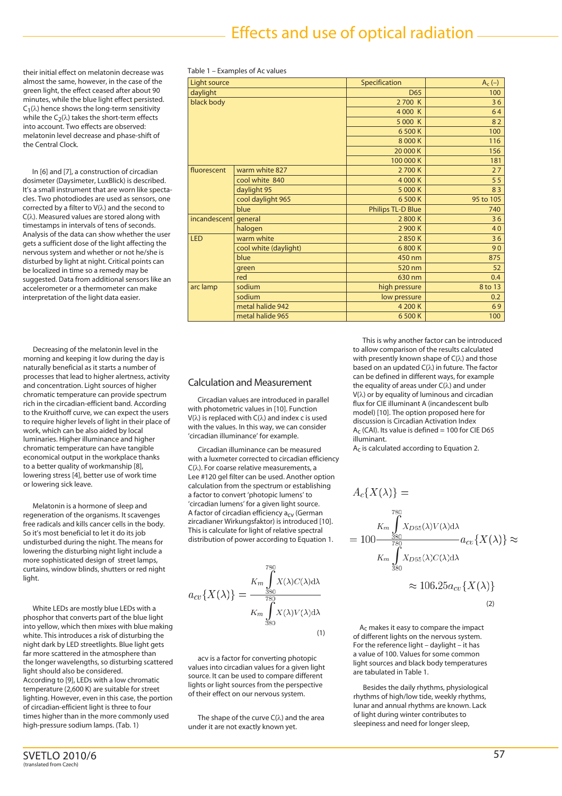# Effects and use of optical radiation

their initial effect on melatonin decrease was almost the same, however, in the case of the green light, the effect ceased after about 90 minutes, while the blue light effect persisted.  $C_1(\lambda)$  hence shows the long-term sensitivity while the  $C_2(\lambda)$  takes the short-term effects into account. Two effects are observed: melatonin level decrease and phase-shift of the Central Clock.

 In [6] and [7], a construction of circadian dosimeter (Daysimeter, LuxBlick) is described. It's a small instrument that are worn like spectacles. Two photodiodes are used as sensors, one corrected by a filter to V(λ) and the second to C(λ). Measured values are stored along with timestamps in intervals of tens of seconds. Analysis of the data can show whether the user gets a sufficient dose of the light affecting the nervous system and whether or not he/she is disturbed by light at night. Critical points can be localized in time so a remedy may be suggested. Data from additional sensors like an accelerometer or a thermometer can make interpretation of the light data easier.

 Decreasing of the melatonin level in the morning and keeping it low during the day is naturally beneficial as it starts a number of processes that lead to higher alertness, activity and concentration. Light sources of higher chromatic temperature can provide spectrum rich in the circadian-efficient band. According to the Kruithoff curve, we can expect the users to require higher levels of light in their place of work, which can be also aided by local luminaries. Higher illuminance and higher chromatic temperature can have tangible economical output in the workplace thanks to a better quality of workmanship [8], lowering stress [4], better use of work time or lowering sick leave.

 Melatonin is a hormone of sleep and regeneration of the organisms. It scavenges free radicals and kills cancer cells in the body. So it's most beneficial to let it do its job undisturbed during the night. The means for lowering the disturbing night light include a more sophisticated design of street lamps, curtains, window blinds, shutters or red night light.

White LEDs are mostly blue LEDs with a phosphor that converts part of the blue light into yellow, which then mixes with blue making white. This introduces a risk of disturbing the night dark by LED streetlights. Blue light gets far more scattered in the atmosphere than the longer wavelengths, so disturbing scattered light should also be considered. According to [9], LEDs with a low chromatic temperature (2,600 K) are suitable for street lighting. However, even in this case, the portion of circadian-efficient light is three to four times higher than in the more commonly used high-pressure sodium lamps. (Tab. 1)

| Light source |                       | Specification            | $A_c(-)$  |
|--------------|-----------------------|--------------------------|-----------|
| daylight     |                       | D65                      | 100       |
| black body   |                       | 2700 K                   | 36        |
|              |                       | 4 000 K                  | 64        |
|              |                       | 5 000 K                  | 82        |
|              |                       | 6500K                    | 100       |
|              |                       | 8 000 K                  | 116       |
|              |                       | 20 000 K                 | 156       |
|              |                       | 100 000 K                | 181       |
| fluorescent  | warm white 827        | 2700K                    | 27        |
|              | cool white 840        | 4 000 K                  | 55        |
|              | daylight 95           | 5 000 K                  | 83        |
|              | cool daylight 965     | 6500K                    | 95 to 105 |
|              | blue                  | <b>Philips TL-D Blue</b> | 740       |
| incandescent | general               | 2800K                    | 36        |
|              | halogen               | 2 900 K                  | 40        |
| <b>LED</b>   | warm white            | 2850K                    | 36        |
|              | cool white (daylight) | 6800K                    | 90        |
|              | blue                  | 450 nm                   | 875       |
|              | green                 | 520 nm                   | 52        |
|              | red                   | 630 nm                   | 0.4       |
| arc lamp     | sodium                | high pressure            | 8 to 13   |
|              | sodium                | low pressure             | 0.2       |
|              | metal halide 942      | 4 200 K                  | 69        |
|              | metal halide 965      | 6500K                    | 100       |

#### Table 1 – Examples of Ac values

### Calculation and Measurement

 Circadian values are introduced in parallel with photometric values in [10]. Function V(λ) is replaced with C(λ) and index c is used with the values. In this way, we can consider 'circadian illuminance' for example.

 Circadian illuminance can be measured with a luxmeter corrected to circadian efficiency C(λ). For coarse relative measurements, a Lee #120 gel filter can be used. Another option calculation from the spectrum or establishing a factor to convert 'photopic lumens' to 'circadian lumens' for a given light source. A factor of circadian efficiency  $a_{CV}$  (German zircadianer Wirkungsfaktor) is introduced [10]. This is calculate for light of relative spectral distribution of power according to Equation 1.

 $a_{cv}\lbrace X(\lambda)\rbrace = \frac{K_m \int\limits_{380}^{780} X(\lambda) C(\lambda) d\lambda}{K_m \int\limits_{\infty}^{780} X(\lambda) V(\lambda) d\lambda}$ (1)

 acv is a factor for converting photopic values into circadian values for a given light source. It can be used to compare different lights or light sources from the perspective of their effect on our nervous system.

The shape of the curve  $C(\lambda)$  and the area under it are not exactly known yet.

 This is why another factor can be introduced to allow comparison of the results calculated with presently known shape of  $C(\lambda)$  and those based on an updated C(λ) in future. The factor can be defined in different ways, for example the equality of areas under  $C(\lambda)$  and under V(λ) or by equality of luminous and circadian flux for CIE illuminant A (incandescent bulb model) [10]. The option proposed here for discussion is Circadian Activation Index  $A<sub>C</sub>$  (CAI). Its value is defined = 100 for CIE D65 illuminant.

Ac is calculated according to Equation 2.

$$
A_c\{X(\lambda)\} =
$$
  
\n
$$
K_m \int_{380}^{780} X_{D65}(\lambda) V(\lambda) d\lambda
$$
  
\n
$$
= 100 \frac{380}{780} a_{cv} \{X(\lambda)\} \approx
$$
  
\n
$$
K_m \int_{380}^{80} X_{D65}(\lambda) C(\lambda) d\lambda
$$
  
\n
$$
\approx 106.25 a_{cv} \{X(\lambda)\}
$$
  
\n(2)

 Ac makes it easy to compare the impact of different lights on the nervous system. For the reference light – daylight – it has a value of 100. Values for some common light sources and black body temperatures are tabulated in Table 1.

 Besides the daily rhythms, physiological rhythms of high/low tide, weekly rhythms, lunar and annual rhythms are known. Lack of light during winter contributes to sleepiness and need for longer sleep,